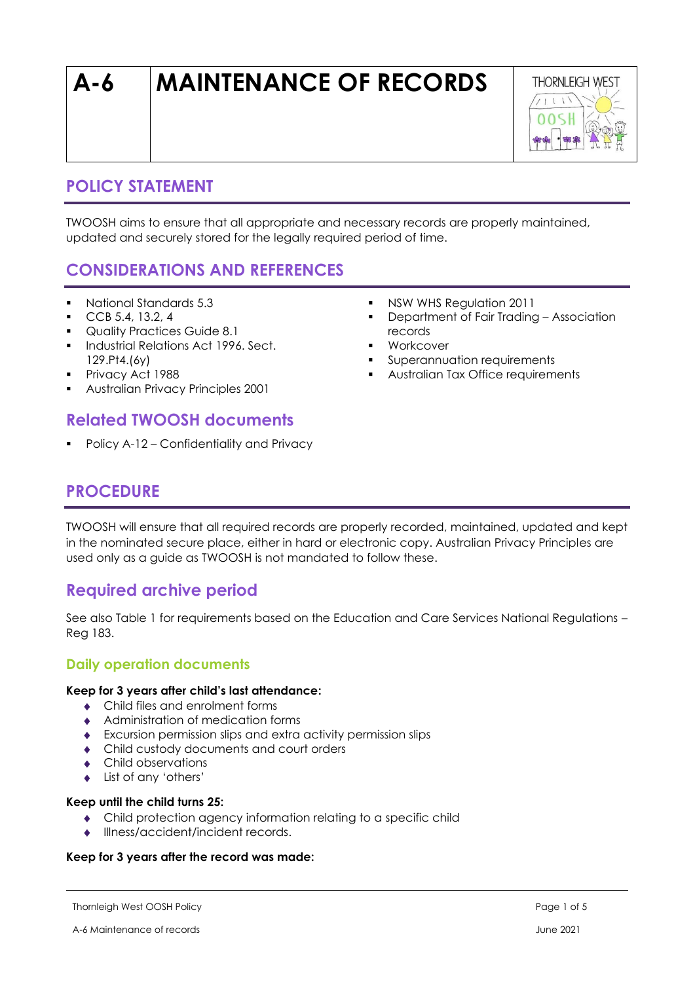# **A-6 MAINTENANCE OF RECORDS**



# **POLICY STATEMENT**

TWOOSH aims to ensure that all appropriate and necessary records are properly maintained, updated and securely stored for the legally required period of time.

# **CONSIDERATIONS AND REFERENCES**

- National Standards 5.3
- CCB 5.4, 13.2, 4
- Quality Practices Guide 8.1
- **·** Industrial Relations Act 1996. Sect. 129.Pt4.(6y)
- Privacy Act 1988
- Australian Privacy Principles 2001

# **Related TWOOSH documents**

Policy A-12 – Confidentiality and Privacy

- **NSW WHS Regulation 2011**
- Department of Fair Trading Association records
- Workcover
- Superannuation requirements
- Australian Tax Office requirements

# **PROCEDURE**

TWOOSH will ensure that all required records are properly recorded, maintained, updated and kept in the nominated secure place, either in hard or electronic copy. Australian Privacy Principles are used only as a guide as TWOOSH is not mandated to follow these.

# **Required archive period**

See also Table 1 for requirements based on the Education and Care Services National Regulations – Reg 183.

### **Daily operation documents**

### **Keep for 3 years after child's last attendance:**

- Child files and enrolment forms
- Administration of medication forms
- Excursion permission slips and extra activity permission slips
- ◆ Child custody documents and court orders
- Child observations
- List of any 'others'

#### **Keep until the child turns 25:**

- Child protection agency information relating to a specific child
- Illness/accident/incident records.

### **Keep for 3 years after the record was made:**

Thornleigh West OOSH Policy Page 1 of 5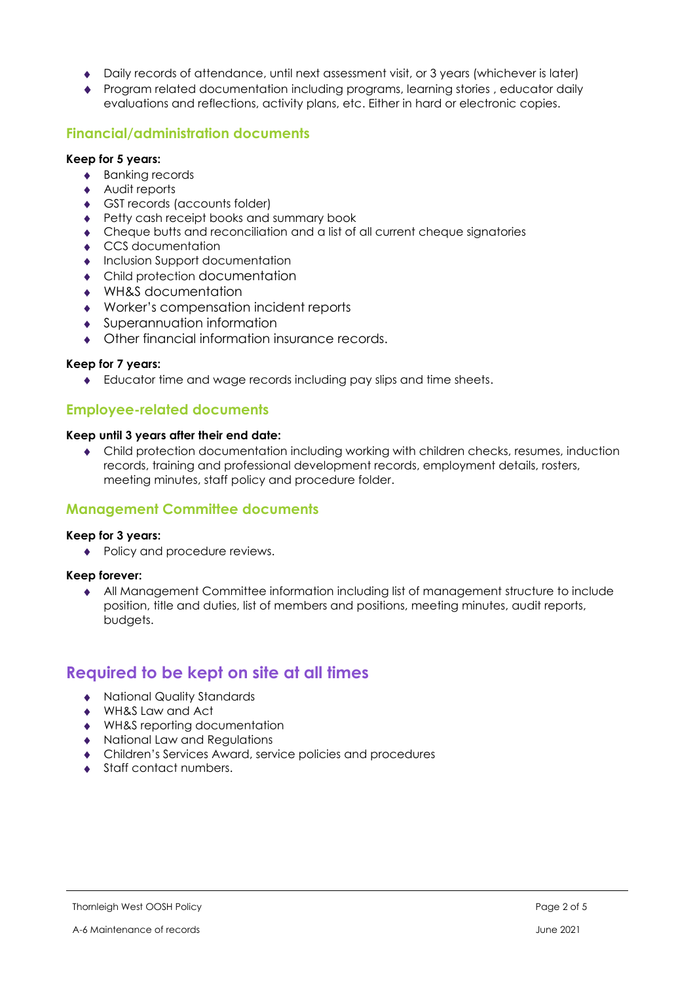- Daily records of attendance, until next assessment visit, or 3 years (whichever is later)
- Program related documentation including programs, learning stories , educator daily evaluations and reflections, activity plans, etc. Either in hard or electronic copies.

### **Financial/administration documents**

#### **Keep for 5 years:**

- ◆ Banking records
- ◆ Audit reports
- GST records (accounts folder)
- ◆ Petty cash receipt books and summary book
- Cheque butts and reconciliation and a list of all current cheque signatories
- ◆ CCS documentation
- **Inclusion Support documentation**
- Child protection documentation
- WH&S documentation
- Worker's compensation incident reports
- Superannuation information
- Other financial information insurance records.

#### **Keep for 7 years:**

Educator time and wage records including pay slips and time sheets.

### **Employee-related documents**

#### **Keep until 3 years after their end date:**

 Child protection documentation including working with children checks, resumes, induction records, training and professional development records, employment details, rosters, meeting minutes, staff policy and procedure folder.

### **Management Committee documents**

#### **Keep for 3 years:**

• Policy and procedure reviews.

#### **Keep forever:**

 All Management Committee information including list of management structure to include position, title and duties, list of members and positions, meeting minutes, audit reports, budgets.

# **Required to be kept on site at all times**

- National Quality Standards
- ◆ WH&S Law and Act
- WH&S reporting documentation
- National Law and Regulations
- Children's Services Award, service policies and procedures
- ◆ Staff contact numbers.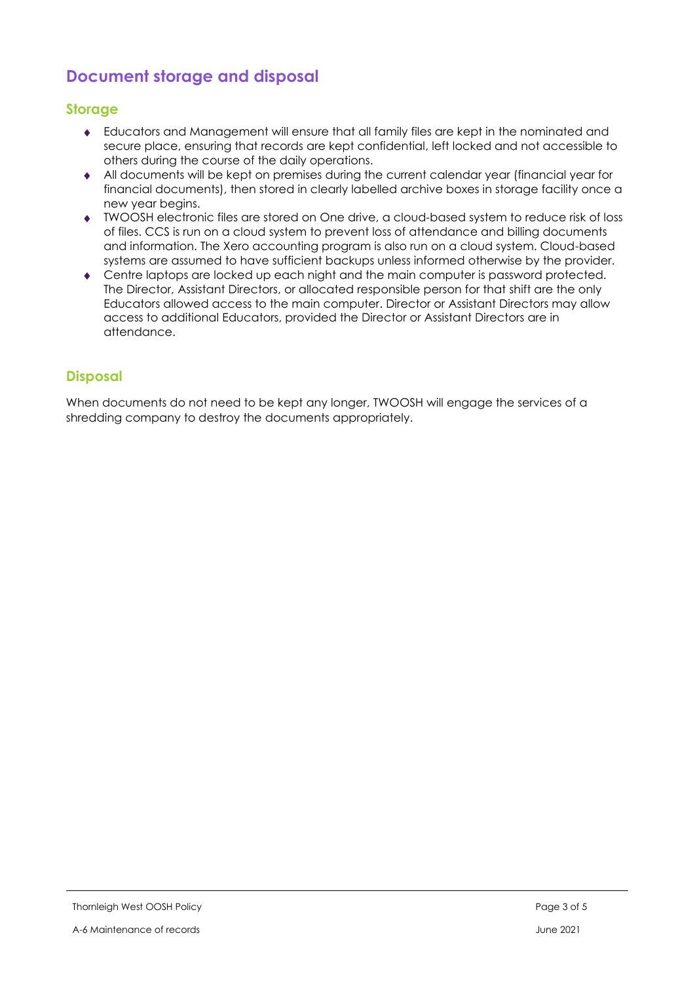# **Document storage and disposal**

### **Storage**

- Educators and Management will ensure that all family files are kept in the nominated and secure place, ensuring that records are kept confidential, left locked and not accessible to others during the course of the daily operations.
- All documents will be kept on premises during the current calendar year (financial year for financial documents), then stored in clearly labelled archive boxes in storage facility once a new year begins.
- TWOOSH electronic files are stored on One drive, a cloud-based system to reduce risk of loss of files. CCS is run on a cloud system to prevent loss of attendance and billing documents and information. The Xero accounting program is also run on a cloud system. Cloud-based systems are assumed to have sufficient backups unless informed otherwise by the provider.
- Centre laptops are locked up each night and the main computer is password protected. The Director, Assistant Directors, or allocated responsible person for that shift are the only Educators allowed access to the main computer. Director or Assistant Directors may allow access to additional Educators, provided the Director or Assistant Directors are in attendance.

### **Disposal**

When documents do not need to be kept any longer, TWOOSH will engage the services of a shredding company to destroy the documents appropriately.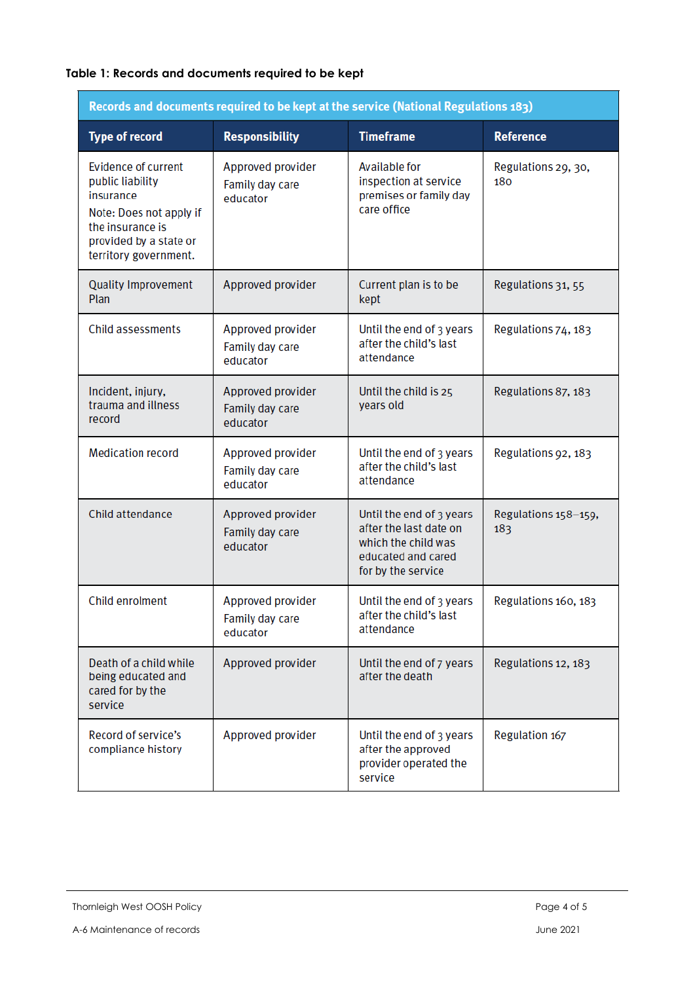## **Table 1: Records and documents required to be kept**

| Records and documents required to be kept at the service (National Regulations 183)                                                                           |                                                                                                                      |                                                                                                                       |                             |  |
|---------------------------------------------------------------------------------------------------------------------------------------------------------------|----------------------------------------------------------------------------------------------------------------------|-----------------------------------------------------------------------------------------------------------------------|-----------------------------|--|
| <b>Type of record</b>                                                                                                                                         | <b>Responsibility</b>                                                                                                | <b>Timeframe</b>                                                                                                      | <b>Reference</b>            |  |
| <b>Evidence of current</b><br>public liability<br>insurance<br>Note: Does not apply if<br>the insurance is<br>provided by a state or<br>territory government. | Approved provider<br>Family day care<br>educator                                                                     | Available for<br>inspection at service<br>premises or family day<br>care office                                       | Regulations 29, 30,<br>180  |  |
| <b>Quality Improvement</b><br>Plan                                                                                                                            | Approved provider                                                                                                    | Current plan is to be<br>kept                                                                                         | Regulations 31, 55          |  |
| Child assessments                                                                                                                                             | Approved provider<br>Family day care<br>educator                                                                     | Until the end of 3 years<br>after the child's last<br>attendance                                                      | Regulations 74, 183         |  |
| Incident, injury,<br>trauma and illness<br>record                                                                                                             | Approved provider<br>Family day care<br>educator                                                                     | Until the child is 25<br>years old                                                                                    | Regulations 87, 183         |  |
| <b>Medication record</b>                                                                                                                                      | Approved provider<br>Family day care<br>educator                                                                     | Until the end of 3 years<br>after the child's last<br>attendance                                                      | Regulations 92, 183         |  |
| Child attendance                                                                                                                                              | Approved provider<br>Family day care<br>educator                                                                     | Until the end of 3 years<br>after the last date on<br>which the child was<br>educated and cared<br>for by the service | Regulations 158-159,<br>183 |  |
| Child enrolment                                                                                                                                               | Approved provider<br>Until the end of 3 years<br>after the child's last<br>Family day care<br>attendance<br>educator |                                                                                                                       | Regulations 160, 183        |  |
| Death of a child while<br>being educated and<br>cared for by the<br>service                                                                                   | Approved provider<br>Until the end of 7 years<br>after the death                                                     |                                                                                                                       | Regulations 12, 183         |  |
| Record of service's<br>compliance history                                                                                                                     | Approved provider                                                                                                    |                                                                                                                       | Regulation 167              |  |